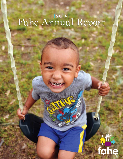# Fahe Annual Report

## fahe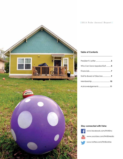

#### **Table of Contents**

| Who Can Save Appalachia?  4  |  |
|------------------------------|--|
|                              |  |
| Staff & Board of Directors 9 |  |
|                              |  |
| Acknowledgements 11          |  |

#### **Stay connected with Fahe:**



www.facebook.com/FAHEInc



www.youtube.com/FAHEMedia



www.twitter.com/FAHEonline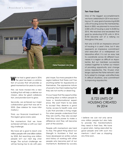

**W**e've had a great year in 2014. The year has been a culmination of success that will provide us great momentum for years to come.

First, we have moved into a new building that will help us deliver our mission, allow for great collaboration, and provide room to grow.

Secondly, we achieved our major collaboration goal that was set in 2005. (See sidebar for more information.)

Third, our financial investment in the region grows every year.

The momentum that we have achieved will help us with our next big challenge.

We have set a goal to reach one million people with one billion dollars by 2025. But reaching one million people isn't our next big challenge. The actual challenge we will be facing has to do with peo-

ple's hope. Too many people in the region believe that there can't be anything better for Appalachia or themselves. The oppressive nature of poverty has them believing that they are not worthy or deserving.

It is our hope that the opportunities we bring allow a million people to have a transformational experience. We want them to be able to accept they deserve a good home, access to health care, and a job that provides a living wage. For when people understand that they are worthy, they also accept that they have power to make a difference and they will become part of the solution.

People with momentum are hard to stop. The great thing about our Strength In Numbers is that we have developed an entire culture and history of working with other people who become part of our momentum. Bolstered by success,

#### **Ten-Year Goal**

One of the biggest accomplishments we have celebrated in 2014 was reaching our 10- year goal of producing 8,000 units of housing across the membership. Back in 2005, we planned to move from 2,000 units of housing a year to 8,000 by 2015. We reached and exceeded that goal by producing 8,725 units in 2014. 8,725 became sort of a rallying cry throughout the year.

Not only is 8,725 an impressive amount of housing in a year's time, but it also represents an impressive commitment and execution of a widespread collaborative effort. It is not an easy task to coordinate across 55 different businesses in a region as difficult as Appalachia. But our members successfully worked together to further our mission of providing opportunity and change across Appalachia. The 10-year challenge captures the Fahe network's ability to adapt to change, work effectively in difficult situations, and commitment to improving Appalachia.



8,725 UNITS OF HOUSING CREATED IN 2014

I believe we can not only serve one million people but also help to provide the transformations they need in their lives. We have a good plan, being executed by good people and with such momentum I don't see us stopping any time soon.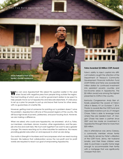#### Who Can Save Appalachia?



**Jesse Tolbert in front of his family's former residence.**

**W**ho can save Appalachia? We asked this question earlier in the year when faced with negative press from people living outside the region. The most insulting of which was a call for government dollars to be spent to help people move out of Appalachia and relocate elsewhere. It's ridiculous to set up a plan for people to pull up and leave their home for other areas, with no guarantees of a better life.

However, getting mad at someone for pointing out a problem doesn't solve the problem. Appalachia is still one of the poorest regions of the country. We still face high levels of poverty, joblessness, and poor housing stock. However, we are making a difference.

When we asked, who could save Appalachia, we answered: all of us. Fahe, our members, volunteers, donors, investors, other organizations, and the people who live and work here. We must work together if we want to see a greater change. This means reaching out to other industries for assistance, this means providing greater education on and exposure to what we are doing.

Our motto is Strength in Numbers and it encompasses what we need moving forward. We believe that collaboration across the non-profit and for profit worlds are required to reach our goal of empowering Appalachia.

Fahe's ability to inject capital into difficult markets caught the attention of the Department of Treasury's Community Development Financial Institution Fund (CDFI FUND) and Fahe was awarded \$2 million dollars for continued investment into persistent poverty counties and low-income areas in Appalachia. The \$2 million award was among the highest presented to CDFIs in the country.

Kentucky Congressman Andy Barr officially presented the award at Fahe's office in Berea, KY on October 7, 2014. Thanks to awards like the CDFI fund and responsible investors such as J.P. Morgan Chase, Fahe is able to leverage funds where they are needed most. J.P. Morgan Chase has been a partner since 2007 and has made an investment in Appalachia through Fahe for more than \$20 million.

Also in attendance was Jenny Ceesay, a community member whose family was directly served by Fahe's utilization of the CDFI Fund. Jenny, her husband Ismaila, and their three children were able to purchase a quality home large enough to accommodate their family with a mortgage that was significantly cheaper than rent.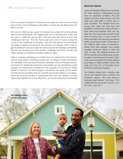#### **Meet the Tolberts**

Since we preach strength in numbers and change, we want to show a small part of what we are bringing to the table, to prove we are doing what we feel is our part.

First, back in 2005 we set a goal to increase the number of homes built per year by the membership. The original goal was to increase from 2,000 units per year to 8,000 per year by 2015. The Fahe Network met and beat that challenge in 2014 by 725 units. That made 8,725 units in 9 years. During the course of the challenge we all grew, and with that growth we developed the ability to deliver our products and services at a greater scale to the region by training in ways to access new resources and new strategic partnerships. We are now pushing forth with another challenge and that's to help one million people by investing one billion dollars by 2025.

Fahe is currently embarking on another form of collaboration that will produce a huge impact. Partnering closely with J.P. Morgan Chase and three of our members, Knox Housing Partnership, Randolph County Housing Authority, and Kentucky Highlands Investment Corporation we are developing a pilot program for Appalachia modeled on the Supports and Services at Home (SASH) in Vermont. The SASH program will identify the needs of the elderly and the service providers that are currently serving the elderly in our region. There are several providers in Appalachia that serve the elderly, but they rarely work together. By connecting them, we can provide all encompassing

Jesse and Heather Tolbert from Knoxville, TN were renting a dilapidated house from an absentee landlord. The roof leaked, the floors were sinking, and the utility bills were \$400 a month due to poor insulation. The Tolberts have two young sons, ages two and four, and Heather's mother, Ruth, living with them. Both Jesse and Heather work, but despite this, the local banks wouldn't give them a home loan, so they turned to Fahe member, Knox Housing Partnership (KHP). According to KHP's Chris Osborn, the Tolberts were closer to homeownership than they realized, they simply needed someone willing to take the time to help. The Tolberts worked with KHP to resolve some credit issues and attended a Homebuyer Education Class. Their hard work paid off and the Tolberts purchased a LEED-certified home with help from the City of Knoxville Down Payment Assistance Program.

The Tolberts stated that a quality, safe home has helped them achieve the American dream. "Our new home is helping us get ahead," said Jesse. "Our utilities bills are now \$120 a month. I can live now. I can live."

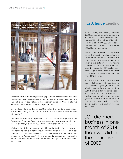

services and fill in the existing service gap. Once fully established, the Fahe network and new resource partners will be able to provide solutions for the vulnerable elderly populations of the Appalachian region. After our pilot, we will replicate the model throughout Appalachia.

Our mortgage lending division, JustChoice Lending, made a huge impact in FY2014 by closing 411 loans that totaled \$38 million. (See sidebar for more information.)

The Fahe network has also proven to be a source for employment across Appalachia. There are 3,064 employees working at Fahe and across the network. In addition, we created 3,560 new construction jobs in FY 2014.

We have the ability to shape Appalachia for the better. Each person who lives here who is able to get ahead, each organization that makes an investment, each construction worker who hammers a new nail, all of these people are saving Appalachia. With hard work and perseverance, Appalachia will be a place lauded for its beauty, warmth, and spirit instead of criticized for its poverty.

### **JustChoice** Lending

**F**ahe's mortgage lending division, JustChoice Lending, had a banner year in 2014. The JCL team closed 411 loans totaling \$38 million dollars. \$25.4 million was from 221 USDA 502 Direct Loans and another \$7.3 million was from 66 USDA Guaranteed loans.

These loans represent a significant amount of quality housing being provided for the people of Appalachia, in particular with the 502 Direct Program, which is available only for low-income households. Thanks to the Fahe Network, this means that 221 families were able to get a loan when many traditional lending institutions would have turned them down.

\$38 million in loans is incredibly significant to Fahe and JustChoice Lending as it indicates a great growth in scale. We did more business in one month of 2014 than we did in the entire year of 2000. Thanks to great leadership and dedication among the team, we have grown to provide a better product for our members and partners to utilize and a wider net of availability for families at need.

JCL did more business in one month of 2014 than we did in the entire year of 2000.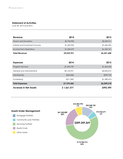#### **Statement of Activities**

*June 30, 2013 and 2014*

| Revenue                        | 2014        | 2013        |
|--------------------------------|-------------|-------------|
| <b>Grants and Donations</b>    | \$5,733,900 | \$3,429,311 |
| Interest and Investment Income | \$1,605,952 | \$1,606,536 |
| Income from Operations         | \$1,696,079 | \$1,505,761 |
| <b>Total Revenue</b>           | \$9,035,931 | \$6,541,608 |
|                                |             |             |
| <b>Expenses</b>                | 2014        | 2013        |
| Program Services               | \$1,694,729 | \$1,604,234 |
| General and Administrative     | \$5,142,921 | \$2,855,810 |
| Membership                     | \$324,868   | \$299,700   |
| Fundraising                    | \$211,842   | \$1,289,474 |
| <b>Total Expenses</b>          | \$7,374,360 | \$6,049,218 |
| <b>Increase in Net Assets</b>  | \$1,661,571 | \$492,390   |

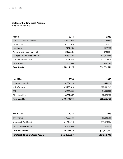#### **Statement of Financial Position**

*June 30, 2013 and 2014*

| <b>Assets</b>                 | 2014         | 2013         |
|-------------------------------|--------------|--------------|
| Cash and Cash Equivalents     | \$10,503,023 | \$11,148,695 |
| Receivables                   | \$1,050,590  | \$1,159,051  |
| Investments                   | \$732,250    | \$697,137    |
| Property and Equipment-Net    | \$3,529,626  | \$934,904    |
| Mortgage Notes Receivable-Net | \$24,582,684 | \$23,967,888 |
| Notes Receivable-Net          | \$12,216,932 | \$13,714,675 |
| <b>Other Assets</b>           | \$700,850    | \$931,360    |
| <b>Total Assets</b>           | \$53,315,955 | \$52,553,710 |

| <b>Liabilities</b>       | 2014         | 2013         |
|--------------------------|--------------|--------------|
| <b>Accounts Payable</b>  | \$1,034,220  | \$446,390    |
| Notes Payable            | \$24,215,818 | \$23,601,141 |
| EQ <sub>2</sub>          | \$2,000,000  | \$4,000,000  |
| Other Liabilities        | \$3,182,357  | \$2,828,188  |
| <b>Total Liabilities</b> | \$30,432,395 | \$30,875,719 |

| <b>Net Assets</b>                       | 2014         | 2013         |
|-----------------------------------------|--------------|--------------|
| Unrestricted                            | \$10,286,544 | \$9,282,685  |
| <b>Temporarily Restricted</b>           | \$11,176,915 | \$11,395,306 |
| <b>Permanently Restricted</b>           | \$1,427,500  | \$1,000,000  |
| <b>Total Net Assets</b>                 | \$22,890,959 | \$21,677,991 |
| <b>Total Liabilities and Net Assets</b> | \$53,323,354 | \$52,553,710 |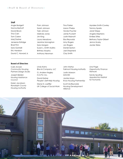#### **Staff**

Angie Badgett Norma Bartruff David Brock Tina Cain Tom Carew Marj Dasher Jeneene Estridge Brad Finn Sara Gambill Eric Haralson David C. Howard Jr. Pam Johnson Sarah Johnson Tyler Johnson Melinda Jones Jim King Laura Meadows Jeanine Monaghan Sara Morgan Susan L. Smith Mullins Brittney Murphy Anthony Newman

Tina Parker Aaron Phelps Vonda Poynter Jamie Puckett Justin Rabnott Elsa Reynolds Amy Rogers Jon Rogers Daniel Sexton Joel Shepherd Clay Smith

Myralee Smith-Cowley Tammy Sparks Janet Stepp Angela Stephens Emilee Stites Bethany Taylor-Gilbert Jenna Urusky Jackie Weiss

#### **Board of Directors**

Colin Arnold *Community Housing Partners Design Studio*

Joseph Belden *Housing Assistance Council*

Karen Jacobson *Randolph County Housing Authority*

Lindy Karns *Blue & Company, LLC*

G. Andrew Kegley *H.O.P.E. Inc.*

David Kreher *People's Self-Help Housing*

Diane N. Loeffler *UK College of Social Work* John Martys *Fairmont Housing Authority*

Justin Maxson *MACED*

Jackie Mayo *Knox Housing Partnership*

Scott McReynolds *Housing Development Alliance*

Lina Page *Opportunity Finance Network*

Sandy Spurling *Appalachia Habitat for Humanity*

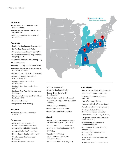#### **Alabama**

- Community Action Partnership of North Alabama
- Hale Empowerment & Revitalization Organization
- Neighborhood Housing Services of Birmingham

#### **Kentucky**

- Beattyville Housing and Development
- Bell-Whitley Community Action
- Christian Appalachian Project (CAP) . Christian Outreach with Appalachian
- People (COAP)
- . Community Ventures Corporation (CVC)
- Frontier Housing
- Housing Development Alliance (HDA)
- Housing-Oriented Ministries Established for Service (HOMES)
- . KCEOC Community Action Partnership
- Kentucky Highlands Investment Corporation (KHIC)
- Kentucky Mountain Housing **Development**
- Kentucky River Community Care (KRCC)
- Kentucky River Foothills Development Council, Inc.
- Low-Income Housing Coalition of East Kentucky (LINKS)
- Partnership Housing
- People's Self-Help Housing

#### **Maryland**

• Garrett Co. Community Action **Committee** 

#### **Tennessee**

- Aid to Distressed Families of Appalachian Counties (ADFAC)
- . Appalachia Habitat for Humanity
- Appalachia Service Project (ASP)
- . Blount County Habitat for Humanity
- Chattanooga Neighborhood Enterprise
- · Clinch-Powell RC&D Council



- Crossville Housing Authority
- Eastern Eight Community Development
- Foothills Community Development
- Kingsport Housing & Redevelopment Authority
- Knox Housing Partnership
- Knoxville Habitat for Humanity
- Knoxville Leadership Foundation

#### **Virginia**

- . Appalachian Community Action & Development Agency (AppCAA)
- Clinch Valley Community Action
- Community Housing Partners (CHP)
- HOPE, Inc.
- People Inc. of Virginia
- Southeast Rural Community Assistance Project
- Total Action Against Poverty (TAP)

#### **West Virginia**

- . Almost Heaven Habitat for Humanity
- Community Resources, Inc. CAP
- Fairmont-Morgantown Housing Authority
- HomeOwnership Center
- Housing Authority of Mingo County
- Mon County Habitat for Humanity
- North Central West Virginia Community Action Association
- Randolph County Housing Authority
- Religious Coalition for Community Renewal (RCCR)
- SAFE Housing and Economic Development (SHED)
- Southeastern Appalachian Rural Alliance (SARA)
- Southern Appalachian Labor School (SALS)
- West Virginia Affordable Housing Trust Fund
- Woodlands Development Group

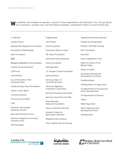We gratefully acknowledge the generous support of these organizations and individuals, who, through grants, Ioans, donations, volunteer work, and the sharing of expertise, contributed to Fahe's success this fiscal year.

| A. Merinoff                                                  | Flagstar Bank                                        |
|--------------------------------------------------------------|------------------------------------------------------|
| Andrew Horne                                                 | Forcht Bank                                          |
| Appalachian Regional Commission                              | Ford Foundation                                      |
| The Atlantic Philanthropies                                  | Franciscan Sisters of Mary                           |
| <b>Bank of America</b>                                       | F.B. Heron Foundation                                |
| BB&T                                                         | <b>Glenmary Home Missioners</b>                      |
| <b>Bluegrass Integrated Communications</b>                   | <b>Grant Foundation</b>                              |
| <b>Calvert Social Investment</b>                             | Heritage Bank                                        |
| <b>CDFI Fund</b>                                             | J.P. Morgan Chase Foundation                         |
| Central Bank                                                 | Kentucky Bank                                        |
| Cg. Of the Sisters of the<br>Incarnate Word                  | Kentucky Dept. of<br><b>Local Government</b>         |
| Charles & Mary Grant Foundation                              | Kentucky Highlands                                   |
| Citizen's Union Bank                                         | <b>Investment Corporation</b>                        |
| Commercial Bank<br><b>Community Trust Bank</b><br><b>CUB</b> | Kentucky Housing Corporation                         |
|                                                              | Kentucky Mountain Land Title                         |
|                                                              | Mary Reynolds<br><b>Babcock Foundation</b>           |
| Domestic and Foreign<br>Missionary Society                   | Mercy Investment Services                            |
| Episcopal Diocese of Iowa                                    | Nazareth Literary &<br><b>Benevolent Institution</b> |
| Fairmont Morgantown Housing<br>Authority of WV               | Neighborworks America                                |
|                                                              | Ohio Capital Corp for Housing                        |

Fifth Third Bank

Opportunity Finance Network Peoples Exchange Bank People's Self-Help Housing PNC Foundation Rural LISC Seton Enablement Fund Sisters of Charity of the Blessed Virgin Sisters of Loretto Tennessee Housing and Development Authority Traditional Bank US Department of Agriculture US Department of Housing and Urban Development US Department of Treasury VHDA Wells Fargo Bank

> West Virginia Housing Development Fund

Whitaker Bank